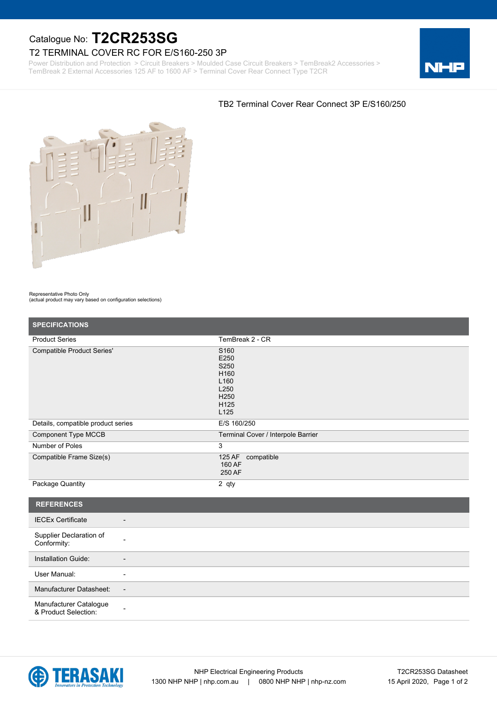# Catalogue No: **T2CR253SG**

## T2 TERMINAL COVER RC FOR E/S160-250 3P

Power Distribution and Protection > Circuit Breakers > Moulded Case Circuit Breakers > TemBreak2 Accessories > TemBreak 2 External Accessories 125 AF to 1600 AF > Terminal Cover Rear Connect Type T2CR



### TB2 Terminal Cover Rear Connect 3P E/S160/250

### Representative Photo Only

(actual product may vary based on configuration selections)

| <b>SPECIFICATIONS</b>                                |                                                                                                                      |
|------------------------------------------------------|----------------------------------------------------------------------------------------------------------------------|
| <b>Product Series</b>                                | TemBreak 2 - CR                                                                                                      |
| <b>Compatible Product Series'</b>                    | S <sub>160</sub><br>E250<br>S250<br>H160<br>L <sub>160</sub><br>L250<br>H <sub>250</sub><br>H125<br>L <sub>125</sub> |
| Details, compatible product series                   | E/S 160/250                                                                                                          |
| <b>Component Type MCCB</b>                           | Terminal Cover / Interpole Barrier                                                                                   |
| Number of Poles                                      | 3                                                                                                                    |
| Compatible Frame Size(s)                             | 125 AF<br>compatible<br>160 AF<br>250 AF                                                                             |
| Package Quantity                                     | 2 qty                                                                                                                |
| <b>REFERENCES</b>                                    |                                                                                                                      |
| <b>IECEx Certificate</b><br>$\overline{\phantom{a}}$ |                                                                                                                      |
| Supplier Declaration of<br>Conformity:               |                                                                                                                      |
| Installation Guide:                                  |                                                                                                                      |
| User Manual:<br>$\overline{\phantom{a}}$             |                                                                                                                      |
| Manufacturer Datasheet:<br>$\overline{\phantom{a}}$  |                                                                                                                      |
| Manufacturer Catalogue<br>& Product Selection:       |                                                                                                                      |